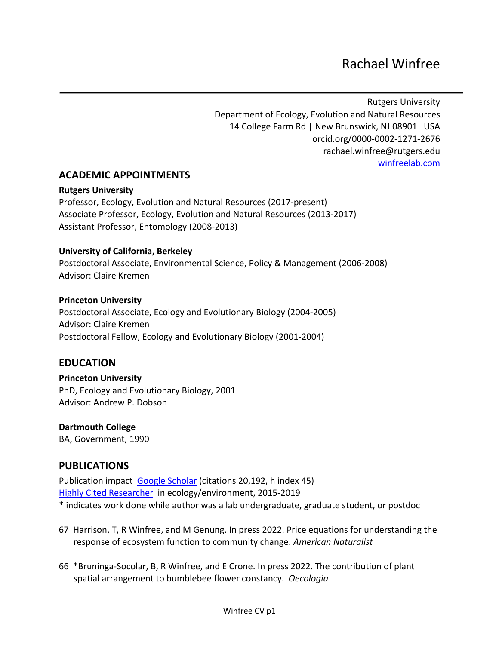Rutgers University Department of Ecology, Evolution and Natural Resources 14 College Farm Rd | New Brunswick, NJ 08901 USA orcid.org/0000-0002-1271-2676 rachael.winfree@rutgers.edu winfreelab.com

# **ACADEMIC APPOINTMENTS**

### **Rutgers University**

Professor, Ecology, Evolution and Natural Resources (2017-present) Associate Professor, Ecology, Evolution and Natural Resources (2013-2017) Assistant Professor, Entomology (2008-2013)

## **University of California, Berkeley**

Postdoctoral Associate, Environmental Science, Policy & Management (2006-2008) Advisor: Claire Kremen

## **Princeton University**

Postdoctoral Associate, Ecology and Evolutionary Biology (2004-2005) Advisor: Claire Kremen Postdoctoral Fellow, Ecology and Evolutionary Biology (2001-2004)

# **EDUCATION**

## **Princeton University**

PhD, Ecology and Evolutionary Biology, 2001 Advisor: Andrew P. Dobson

## **Dartmouth College**

BA, Government, 1990

# **PUBLICATIONS**

Publication impact Google Scholar (citations 20,192, h index 45) Highly Cited Researcher in ecology/environment, 2015-2019 \* indicates work done while author was a lab undergraduate, graduate student, or postdoc

- 67 Harrison, T, R Winfree, and M Genung. In press 2022. Price equations for understanding the response of ecosystem function to community change. *American Naturalist*
- 66 \*Bruninga-Socolar, B, R Winfree, and E Crone. In press 2022. The contribution of plant spatial arrangement to bumblebee flower constancy. *Oecologia*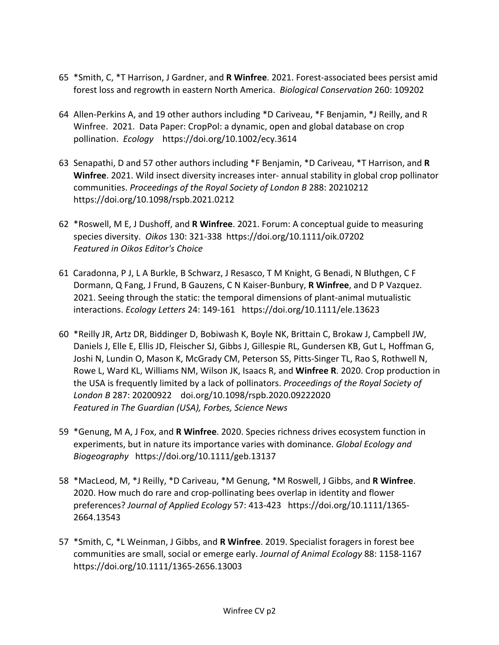- 65 \*Smith, C, \*T Harrison, J Gardner, and **R Winfree**. 2021. Forest-associated bees persist amid forest loss and regrowth in eastern North America. *Biological Conservation* 260: 109202
- 64 Allen-Perkins A, and 19 other authors including \*D Cariveau, \*F Benjamin, \*J Reilly, and R Winfree. 2021. Data Paper: CropPol: a dynamic, open and global database on crop pollination. *Ecology* https://doi.org/10.1002/ecy.3614
- 63 Senapathi, D and 57 other authors including \*F Benjamin, \*D Cariveau, \*T Harrison, and **R Winfree**. 2021. Wild insect diversity increases inter- annual stability in global crop pollinator communities. *Proceedings of the Royal Society of London B* 288: 20210212 https://doi.org/10.1098/rspb.2021.0212
- 62 \*Roswell, M E, J Dushoff, and **R Winfree**. 2021. Forum: A conceptual guide to measuring species diversity. *Oikos* 130: 321-338 https://doi.org/10.1111/oik.07202 *Featured in Oikos Editor's Choice*
- 61 Caradonna, P J, L A Burkle, B Schwarz, J Resasco, T M Knight, G Benadi, N Bluthgen, C F Dormann, Q Fang, J Frund, B Gauzens, C N Kaiser-Bunbury, **R Winfree**, and D P Vazquez. 2021. Seeing through the static: the temporal dimensions of plant-animal mutualistic interactions. *Ecology Letters* 24: 149-161 https://doi.org/10.1111/ele.13623
- 60 \*Reilly JR, Artz DR, Biddinger D, Bobiwash K, Boyle NK, Brittain C, Brokaw J, Campbell JW, Daniels J, Elle E, Ellis JD, Fleischer SJ, Gibbs J, Gillespie RL, Gundersen KB, Gut L, Hoffman G, Joshi N, Lundin O, Mason K, McGrady CM, Peterson SS, Pitts-Singer TL, Rao S, Rothwell N, Rowe L, Ward KL, Williams NM, Wilson JK, Isaacs R, and **Winfree R**. 2020. Crop production in the USA is frequently limited by a lack of pollinators. *Proceedings of the Royal Society of London B* 287: 20200922 doi.org/10.1098/rspb.2020.09222020 *Featured in The Guardian (USA), Forbes, Science News*
- 59 \*Genung, M A, J Fox, and **R Winfree**. 2020. Species richness drives ecosystem function in experiments, but in nature its importance varies with dominance. *Global Ecology and Biogeography* https://doi.org/10.1111/geb.13137
- 58 \*MacLeod, M, \*J Reilly, \*D Cariveau, \*M Genung, \*M Roswell, J Gibbs, and **R Winfree**. 2020. How much do rare and crop-pollinating bees overlap in identity and flower preferences? *Journal of Applied Ecology* 57: 413-423 https://doi.org/10.1111/1365- 2664.13543
- 57 \*Smith, C, \*L Weinman, J Gibbs, and **R Winfree**. 2019. Specialist foragers in forest bee communities are small, social or emerge early. *Journal of Animal Ecology* 88: 1158-1167 https://doi.org/10.1111/1365-2656.13003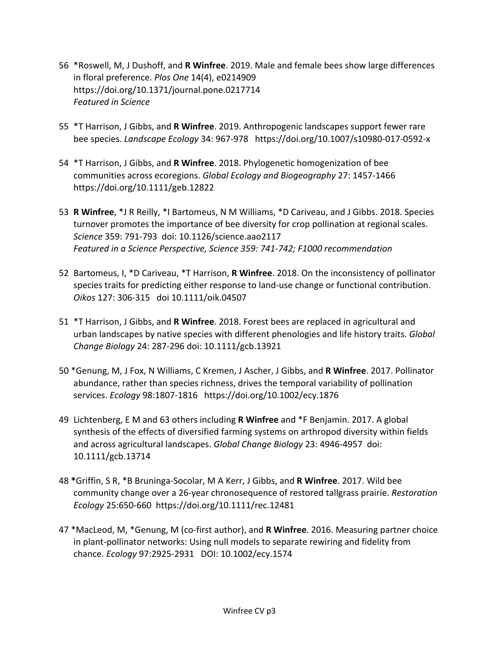- 56 \*Roswell, M, J Dushoff, and **R Winfree**. 2019. Male and female bees show large differences in floral preference. *Plos One* 14(4), e0214909 https://doi.org/10.1371/journal.pone.0217714 *Featured in Science*
- 55 \*T Harrison, J Gibbs, and **R Winfree**. 2019. Anthropogenic landscapes support fewer rare bee species. *Landscape Ecology* 34: 967-978 https://doi.org/10.1007/s10980-017-0592-x
- 54 \*T Harrison, J Gibbs, and **R Winfree**. 2018. Phylogenetic homogenization of bee communities across ecoregions. *Global Ecology and Biogeography* 27: 1457-1466 https://doi.org/10.1111/geb.12822
- 53 **R Winfree**, \*J R Reilly, \*I Bartomeus, N M Williams, \*D Cariveau, and J Gibbs. 2018. Species turnover promotes the importance of bee diversity for crop pollination at regional scales. *Science* 359: 791-793 doi: 10.1126/science.aao2117 *Featured in a Science Perspective, Science 359: 741-742; F1000 recommendation*
- 52 Bartomeus, I, \*D Cariveau, \*T Harrison, **R Winfree**. 2018. On the inconsistency of pollinator species traits for predicting either response to land-use change or functional contribution. *Oikos* 127: 306-315 doi 10.1111/oik.04507
- 51 \*T Harrison, J Gibbs, and **R Winfree**. 2018. Forest bees are replaced in agricultural and urban landscapes by native species with different phenologies and life history traits. *Global Change Biology* 24: 287-296 doi: 10.1111/gcb.13921
- 50 \*Genung, M, J Fox, N Williams, C Kremen, J Ascher, J Gibbs, and **R Winfree**. 2017. Pollinator abundance, rather than species richness, drives the temporal variability of pollination services. *Ecology* 98:1807-1816 https://doi.org/10.1002/ecy.1876
- 49 Lichtenberg, E M and 63 others including **R Winfree** and \*F Benjamin. 2017. A global synthesis of the effects of diversified farming systems on arthropod diversity within fields and across agricultural landscapes. *Global Change Biology* 23: 4946-4957 doi: 10.1111/gcb.13714
- 48 **\***Griffin, S R, \*B Bruninga-Socolar, M A Kerr, J Gibbs, and **R Winfree**. 2017. Wild bee community change over a 26-year chronosequence of restored tallgrass prairie. *Restoration Ecology* 25:650-660 https://doi.org/10.1111/rec.12481
- 47 \*MacLeod, M, \*Genung, M (co-first author), and **R Winfree**. 2016. Measuring partner choice in plant-pollinator networks: Using null models to separate rewiring and fidelity from chance. *Ecology* 97:2925-2931 DOI: 10.1002/ecy.1574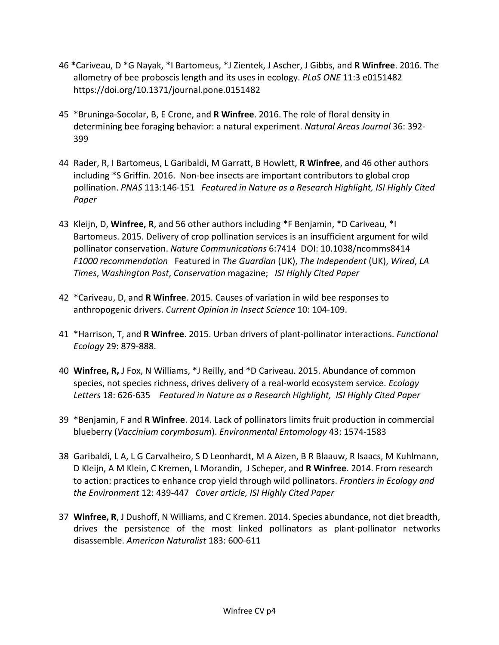- 46 **\***Cariveau, D \*G Nayak, \*I Bartomeus, \*J Zientek, J Ascher, J Gibbs, and **R Winfree**. 2016. The allometry of bee proboscis length and its uses in ecology. *PLoS ONE* 11:3 e0151482 https://doi.org/10.1371/journal.pone.0151482
- 45 \*Bruninga-Socolar, B, E Crone, and **R Winfree**. 2016. The role of floral density in determining bee foraging behavior: a natural experiment. *Natural Areas Journal* 36: 392- 399
- 44 Rader, R, I Bartomeus, L Garibaldi, M Garratt, B Howlett, **R Winfree**, and 46 other authors including \*S Griffin. 2016. Non-bee insects are important contributors to global crop pollination. *PNAS* 113:146-151 *Featured in Nature as a Research Highlight, ISI Highly Cited Paper*
- 43 Kleijn, D, **Winfree, R**, and 56 other authors including \*F Benjamin, \*D Cariveau, \*I Bartomeus. 2015. Delivery of crop pollination services is an insufficient argument for wild pollinator conservation. *Nature Communications* 6:7414 DOI: 10.1038/ncomms8414 *F1000 recommendation* Featured in *The Guardian* (UK), *The Independent* (UK), *Wired*, *LA Times*, *Washington Post*, *Conservation* magazine; *ISI Highly Cited Paper*
- 42 \*Cariveau, D, and **R Winfree**. 2015. Causes of variation in wild bee responses to anthropogenic drivers. *Current Opinion in Insect Science* 10: 104-109.
- 41 \*Harrison, T, and **R Winfree**. 2015. Urban drivers of plant-pollinator interactions. *Functional Ecology* 29: 879-888.
- 40 **Winfree, R,** J Fox, N Williams, \*J Reilly, and \*D Cariveau. 2015. Abundance of common species, not species richness, drives delivery of a real-world ecosystem service. *Ecology Letters* 18: 626-635 *Featured in Nature as a Research Highlight, ISI Highly Cited Paper*
- 39 \*Benjamin, F and **R Winfree**. 2014. Lack of pollinators limits fruit production in commercial blueberry (*Vaccinium corymbosum*). *Environmental Entomology* 43: 1574-1583
- 38 Garibaldi, L A, L G Carvalheiro, S D Leonhardt, M A Aizen, B R Blaauw, R Isaacs, M Kuhlmann, D Kleijn, A M Klein, C Kremen, L Morandin, J Scheper, and **R Winfree**. 2014. From research to action: practices to enhance crop yield through wild pollinators. *Frontiers in Ecology and the Environment* 12: 439-447 *Cover article, ISI Highly Cited Paper*
- 37 **Winfree, R**, J Dushoff, N Williams, and C Kremen. 2014. Species abundance, not diet breadth, drives the persistence of the most linked pollinators as plant-pollinator networks disassemble. *American Naturalist* 183: 600-611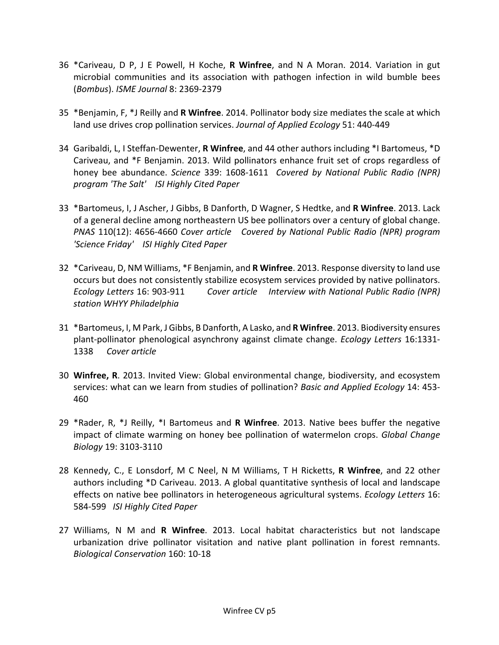- 36 \*Cariveau, D P, J E Powell, H Koche, **R Winfree**, and N A Moran. 2014. Variation in gut microbial communities and its association with pathogen infection in wild bumble bees (*Bombus*). *ISME Journal* 8: 2369-2379
- 35 \*Benjamin, F, \*J Reilly and **R Winfree**. 2014. Pollinator body size mediates the scale at which land use drives crop pollination services. *Journal of Applied Ecology* 51: 440-449
- 34 Garibaldi, L, I Steffan-Dewenter, **R Winfree**, and 44 other authors including \*I Bartomeus, \*D Cariveau, and \*F Benjamin. 2013. Wild pollinators enhance fruit set of crops regardless of honey bee abundance. *Science* 339: 1608-1611 *Covered by National Public Radio (NPR) program 'The Salt' ISI Highly Cited Paper*
- 33 \*Bartomeus, I, J Ascher, J Gibbs, B Danforth, D Wagner, S Hedtke, and **R Winfree**. 2013. Lack of a general decline among northeastern US bee pollinators over a century of global change. *PNAS* 110(12): 4656-4660 *Cover article Covered by National Public Radio (NPR) program 'Science Friday' ISI Highly Cited Paper*
- 32 \*Cariveau, D, NM Williams, \*F Benjamin, and **R Winfree**. 2013. Response diversity to land use occurs but does not consistently stabilize ecosystem services provided by native pollinators. *Ecology Letters* 16: 903-911 *Cover article Interview with National Public Radio (NPR) station WHYY Philadelphia*
- 31 \*Bartomeus, I, M Park, J Gibbs, B Danforth, A Lasko, and **R Winfree**. 2013. Biodiversity ensures plant-pollinator phenological asynchrony against climate change. *Ecology Letters* 16:1331- 1338 *Cover article*
- 30 **Winfree, R**. 2013. Invited View: Global environmental change, biodiversity, and ecosystem services: what can we learn from studies of pollination? *Basic and Applied Ecology* 14: 453- 460
- 29 \*Rader, R, \*J Reilly, \*I Bartomeus and **R Winfree**. 2013. Native bees buffer the negative impact of climate warming on honey bee pollination of watermelon crops. *Global Change Biology* 19: 3103-3110
- 28 Kennedy, C., E Lonsdorf, M C Neel, N M Williams, T H Ricketts, **R Winfree**, and 22 other authors including \*D Cariveau. 2013. A global quantitative synthesis of local and landscape effects on native bee pollinators in heterogeneous agricultural systems. *Ecology Letters* 16: 584-599 *ISI Highly Cited Paper*
- 27 Williams, N M and **R Winfree**. 2013. Local habitat characteristics but not landscape urbanization drive pollinator visitation and native plant pollination in forest remnants. *Biological Conservation* 160: 10-18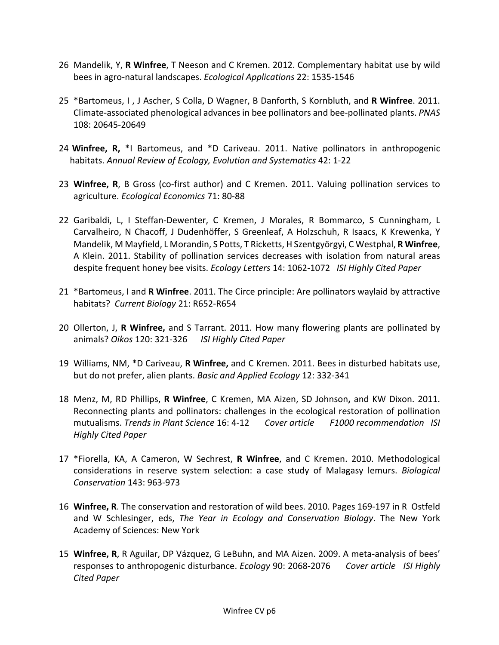- 26 Mandelik, Y, **R Winfree**, T Neeson and C Kremen. 2012. Complementary habitat use by wild bees in agro-natural landscapes. *Ecological Applications* 22: 1535-1546
- 25 \*Bartomeus, I , J Ascher, S Colla, D Wagner, B Danforth, S Kornbluth, and **R Winfree**. 2011. Climate-associated phenological advances in bee pollinators and bee-pollinated plants. *PNAS* 108: 20645-20649
- 24 **Winfree, R,** \*I Bartomeus, and \*D Cariveau. 2011. Native pollinators in anthropogenic habitats. *Annual Review of Ecology, Evolution and Systematics* 42: 1-22
- 23 **Winfree, R**, B Gross (co-first author) and C Kremen. 2011. Valuing pollination services to agriculture. *Ecological Economics* 71: 80-88
- 22 Garibaldi, L, I Steffan-Dewenter, C Kremen, J Morales, R Bommarco, S Cunningham, L Carvalheiro, N Chacoff, J Dudenhöffer, S Greenleaf, A Holzschuh, R Isaacs, K Krewenka, Y Mandelik, M Mayfield, L Morandin, S Potts, T Ricketts, H Szentgyörgyi, C Westphal, **R Winfree**, A Klein. 2011. Stability of pollination services decreases with isolation from natural areas despite frequent honey bee visits. *Ecology Letters* 14: 1062-1072 *ISI Highly Cited Paper*
- 21 \*Bartomeus, I and **R Winfree**. 2011. The Circe principle: Are pollinators waylaid by attractive habitats? *Current Biology* 21: R652-R654
- 20 Ollerton, J, **R Winfree,** and S Tarrant. 2011. How many flowering plants are pollinated by animals? *Oikos* 120: 321-326 *ISI Highly Cited Paper*
- 19 Williams, NM, \*D Cariveau, **R Winfree,** and C Kremen. 2011. Bees in disturbed habitats use, but do not prefer, alien plants. *Basic and Applied Ecology* 12: 332-341
- 18 Menz, M, RD Phillips, **R Winfree**, C Kremen, MA Aizen, SD Johnson**,** and KW Dixon. 2011. Reconnecting plants and pollinators: challenges in the ecological restoration of pollination mutualisms. *Trends in Plant Science* 16: 4-12 *Cover article F1000 recommendation ISI Highly Cited Paper*
- 17 \*Fiorella, KA, A Cameron, W Sechrest, **R Winfree**, and C Kremen. 2010. Methodological considerations in reserve system selection: a case study of Malagasy lemurs. *Biological Conservation* 143: 963-973
- 16 **Winfree, R**. The conservation and restoration of wild bees. 2010. Pages 169-197 in R Ostfeld and W Schlesinger, eds, *The Year in Ecology and Conservation Biology*. The New York Academy of Sciences: New York
- 15 **Winfree, R**, R Aguilar, DP Vázquez, G LeBuhn, and MA Aizen. 2009. A meta-analysis of bees' responses to anthropogenic disturbance. *Ecology* 90: 2068-2076 *Cover article ISI Highly Cited Paper*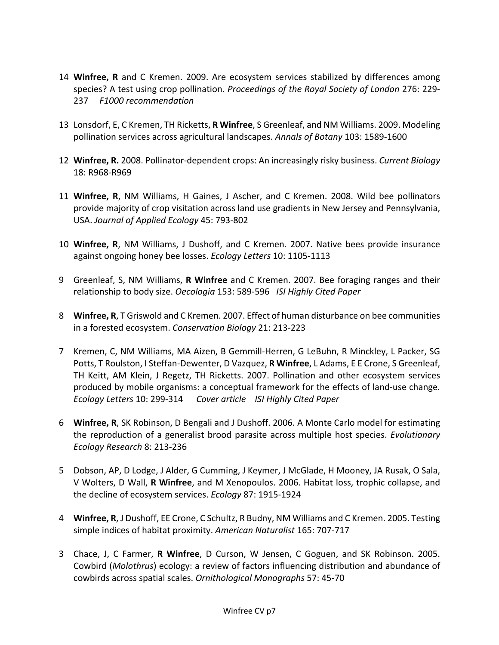- 14 **Winfree, R** and C Kremen. 2009. Are ecosystem services stabilized by differences among species? A test using crop pollination. *Proceedings of the Royal Society of London* 276: 229- 237 *F1000 recommendation*
- 13 Lonsdorf, E, C Kremen, TH Ricketts, **R Winfree**, S Greenleaf, and NM Williams. 2009. Modeling pollination services across agricultural landscapes. *Annals of Botany* 103: 1589-1600
- 12 **Winfree, R.** 2008. Pollinator-dependent crops: An increasingly risky business. *Current Biology*  18: R968-R969
- 11 **Winfree, R**, NM Williams, H Gaines, J Ascher, and C Kremen. 2008. Wild bee pollinators provide majority of crop visitation across land use gradients in New Jersey and Pennsylvania, USA. *Journal of Applied Ecology* 45: 793-802
- 10 **Winfree, R**, NM Williams, J Dushoff, and C Kremen. 2007. Native bees provide insurance against ongoing honey bee losses. *Ecology Letters* 10: 1105-1113
- 9 Greenleaf, S, NM Williams, **R Winfree** and C Kremen. 2007. Bee foraging ranges and their relationship to body size. *Oecologia* 153: 589-596 *ISI Highly Cited Paper*
- 8 **Winfree, R**, T Griswold and C Kremen. 2007. Effect of human disturbance on bee communities in a forested ecosystem. *Conservation Biology* 21: 213-223
- 7 Kremen, C, NM Williams, MA Aizen, B Gemmill-Herren, G LeBuhn, R Minckley, L Packer, SG Potts, T Roulston, I Steffan-Dewenter, D Vazquez, **R Winfree**, L Adams, E E Crone, S Greenleaf, TH Keitt, AM Klein, J Regetz, TH Ricketts. 2007. Pollination and other ecosystem services produced by mobile organisms: a conceptual framework for the effects of land-use change*. Ecology Letters* 10: 299-314 *Cover article ISI Highly Cited Paper*
- 6 **Winfree, R**, SK Robinson, D Bengali and J Dushoff. 2006. A Monte Carlo model for estimating the reproduction of a generalist brood parasite across multiple host species. *Evolutionary Ecology Research* 8: 213-236
- 5 Dobson, AP, D Lodge, J Alder, G Cumming, J Keymer, J McGlade, H Mooney, JA Rusak, O Sala, V Wolters, D Wall, **R Winfree**, and M Xenopoulos. 2006. Habitat loss, trophic collapse, and the decline of ecosystem services. *Ecology* 87: 1915-1924
- 4 **Winfree, R**, J Dushoff, EE Crone, C Schultz, R Budny, NM Williams and C Kremen. 2005. Testing simple indices of habitat proximity. *American Naturalist* 165: 707-717
- 3 Chace, J, C Farmer, **R Winfree**, D Curson, W Jensen, C Goguen, and SK Robinson. 2005. Cowbird (*Molothrus*) ecology: a review of factors influencing distribution and abundance of cowbirds across spatial scales. *Ornithological Monographs* 57: 45-70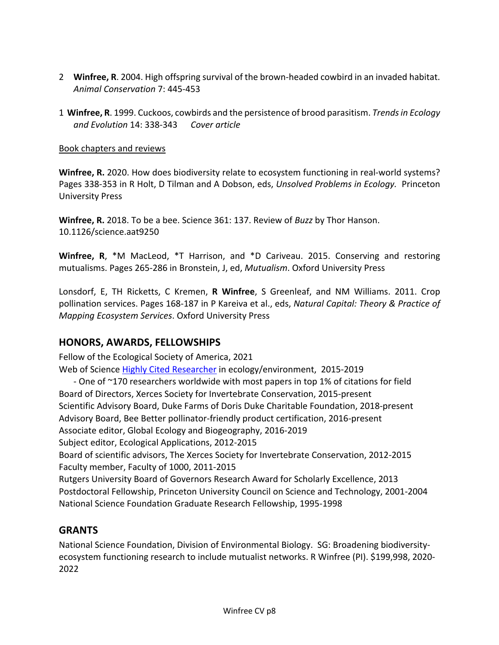- 2 **Winfree, R**. 2004. High offspring survival of the brown-headed cowbird in an invaded habitat. *Animal Conservation* 7: 445-453
- 1 **Winfree, R**. 1999. Cuckoos, cowbirds and the persistence of brood parasitism. *Trends in Ecology and Evolution* 14: 338-343 *Cover article*

#### Book chapters and reviews

**Winfree, R.** 2020. How does biodiversity relate to ecosystem functioning in real-world systems? Pages 338-353 in R Holt, D Tilman and A Dobson, eds, *Unsolved Problems in Ecology.* Princeton University Press

**Winfree, R.** 2018. To be a bee. Science 361: 137. Review of *Buzz* by Thor Hanson. 10.1126/science.aat9250

**Winfree, R**, \*M MacLeod, \*T Harrison, and \*D Cariveau. 2015. Conserving and restoring mutualisms. Pages 265-286 in Bronstein, J, ed, *Mutualism*. Oxford University Press

Lonsdorf, E, TH Ricketts, C Kremen, **R Winfree**, S Greenleaf, and NM Williams. 2011. Crop pollination services. Pages 168-187 in P Kareiva et al., eds, *Natural Capital: Theory & Practice of Mapping Ecosystem Services*. Oxford University Press

# **HONORS, AWARDS, FELLOWSHIPS**

Fellow of the Ecological Society of America, 2021 Web of Science Highly Cited Researcher in ecology/environment, 2015-2019

- One of ~170 researchers worldwide with most papers in top 1% of citations for field Board of Directors, Xerces Society for Invertebrate Conservation, 2015-present Scientific Advisory Board, Duke Farms of Doris Duke Charitable Foundation, 2018-present Advisory Board, Bee Better pollinator-friendly product certification, 2016-present Associate editor, Global Ecology and Biogeography, 2016-2019 Subject editor, Ecological Applications, 2012-2015 Board of scientific advisors, The Xerces Society for Invertebrate Conservation, 2012-2015 Faculty member, Faculty of 1000, 2011-2015 Rutgers University Board of Governors Research Award for Scholarly Excellence, 2013 Postdoctoral Fellowship, Princeton University Council on Science and Technology, 2001-2004 National Science Foundation Graduate Research Fellowship, 1995-1998

# **GRANTS**

National Science Foundation, Division of Environmental Biology. SG: Broadening biodiversityecosystem functioning research to include mutualist networks. R Winfree (PI). \$199,998, 2020- 2022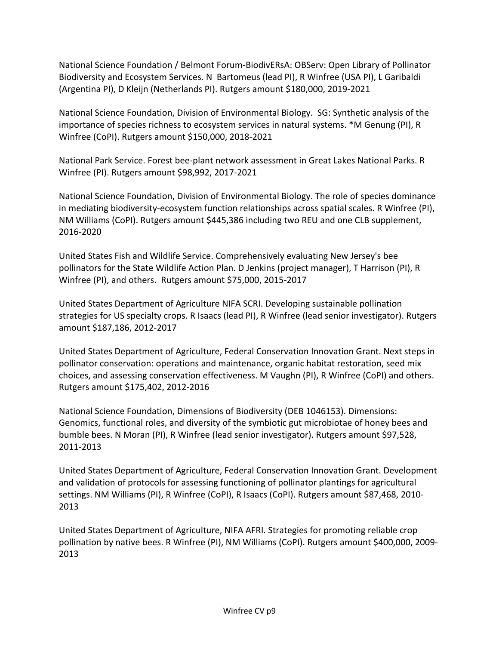National Science Foundation / Belmont Forum-BiodivERsA: OBServ: Open Library of Pollinator Biodiversity and Ecosystem Services. N Bartomeus (lead PI), R Winfree (USA PI), L Garibaldi (Argentina PI), D Kleijn (Netherlands PI). Rutgers amount \$180,000, 2019-2021

National Science Foundation, Division of Environmental Biology. SG: Synthetic analysis of the importance of species richness to ecosystem services in natural systems. \*M Genung (PI), R Winfree (CoPI). Rutgers amount \$150,000, 2018-2021

National Park Service. Forest bee-plant network assessment in Great Lakes National Parks. R Winfree (PI). Rutgers amount \$98,992, 2017-2021

National Science Foundation, Division of Environmental Biology. The role of species dominance in mediating biodiversity-ecosystem function relationships across spatial scales. R Winfree (PI), NM Williams (CoPI). Rutgers amount \$445,386 including two REU and one CLB supplement, 2016-2020

United States Fish and Wildlife Service. Comprehensively evaluating New Jersey's bee pollinators for the State Wildlife Action Plan. D Jenkins (project manager), T Harrison (PI), R Winfree (PI), and others. Rutgers amount \$75,000, 2015-2017

United States Department of Agriculture NIFA SCRI. Developing sustainable pollination strategies for US specialty crops. R Isaacs (lead PI), R Winfree (lead senior investigator). Rutgers amount \$187,186, 2012-2017

United States Department of Agriculture, Federal Conservation Innovation Grant. Next steps in pollinator conservation: operations and maintenance, organic habitat restoration, seed mix choices, and assessing conservation effectiveness. M Vaughn (PI), R Winfree (CoPI) and others. Rutgers amount \$175,402, 2012-2016

National Science Foundation, Dimensions of Biodiversity (DEB 1046153). Dimensions: Genomics, functional roles, and diversity of the symbiotic gut microbiotae of honey bees and bumble bees. N Moran (PI), R Winfree (lead senior investigator). Rutgers amount \$97,528, 2011-2013

United States Department of Agriculture, Federal Conservation Innovation Grant. Development and validation of protocols for assessing functioning of pollinator plantings for agricultural settings. NM Williams (PI), R Winfree (CoPI), R Isaacs (CoPI). Rutgers amount \$87,468, 2010- 2013

United States Department of Agriculture, NIFA AFRI. Strategies for promoting reliable crop pollination by native bees. R Winfree (PI), NM Williams (CoPI). Rutgers amount \$400,000, 2009- 2013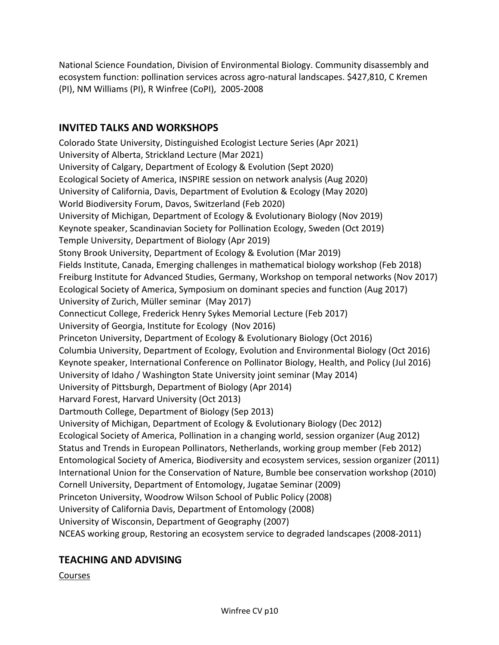National Science Foundation, Division of Environmental Biology. Community disassembly and ecosystem function: pollination services across agro-natural landscapes. \$427,810, C Kremen (PI), NM Williams (PI), R Winfree (CoPI), 2005-2008

# **INVITED TALKS AND WORKSHOPS**

Colorado State University, Distinguished Ecologist Lecture Series (Apr 2021) University of Alberta, Strickland Lecture (Mar 2021) University of Calgary, Department of Ecology & Evolution (Sept 2020) Ecological Society of America, INSPIRE session on network analysis (Aug 2020) University of California, Davis, Department of Evolution & Ecology (May 2020) World Biodiversity Forum, Davos, Switzerland (Feb 2020) University of Michigan, Department of Ecology & Evolutionary Biology (Nov 2019) Keynote speaker, Scandinavian Society for Pollination Ecology, Sweden (Oct 2019) Temple University, Department of Biology (Apr 2019) Stony Brook University, Department of Ecology & Evolution (Mar 2019) Fields Institute, Canada, Emerging challenges in mathematical biology workshop (Feb 2018) Freiburg Institute for Advanced Studies, Germany, Workshop on temporal networks (Nov 2017) Ecological Society of America, Symposium on dominant species and function (Aug 2017) University of Zurich, Müller seminar (May 2017) Connecticut College, Frederick Henry Sykes Memorial Lecture (Feb 2017) University of Georgia, Institute for Ecology (Nov 2016) Princeton University, Department of Ecology & Evolutionary Biology (Oct 2016) Columbia University, Department of Ecology, Evolution and Environmental Biology (Oct 2016) Keynote speaker, International Conference on Pollinator Biology, Health, and Policy (Jul 2016) University of Idaho / Washington State University joint seminar (May 2014) University of Pittsburgh, Department of Biology (Apr 2014) Harvard Forest, Harvard University (Oct 2013) Dartmouth College, Department of Biology (Sep 2013) University of Michigan, Department of Ecology & Evolutionary Biology (Dec 2012) Ecological Society of America, Pollination in a changing world, session organizer (Aug 2012) Status and Trends in European Pollinators, Netherlands, working group member (Feb 2012) Entomological Society of America, Biodiversity and ecosystem services, session organizer (2011) International Union for the Conservation of Nature, Bumble bee conservation workshop (2010) Cornell University, Department of Entomology, Jugatae Seminar (2009) Princeton University, Woodrow Wilson School of Public Policy (2008) University of California Davis, Department of Entomology (2008) University of Wisconsin, Department of Geography (2007) NCEAS working group, Restoring an ecosystem service to degraded landscapes (2008-2011)

# **TEACHING AND ADVISING**

Courses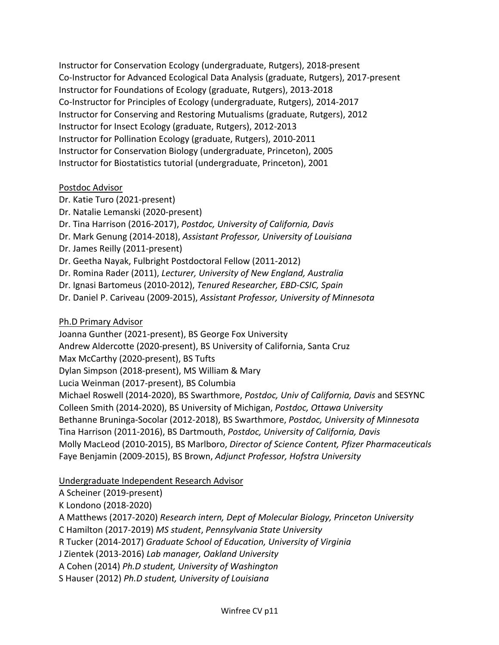Instructor for Conservation Ecology (undergraduate, Rutgers), 2018-present Co-Instructor for Advanced Ecological Data Analysis (graduate, Rutgers), 2017-present Instructor for Foundations of Ecology (graduate, Rutgers), 2013-2018 Co-Instructor for Principles of Ecology (undergraduate, Rutgers), 2014-2017 Instructor for Conserving and Restoring Mutualisms (graduate, Rutgers), 2012 Instructor for Insect Ecology (graduate, Rutgers), 2012-2013 Instructor for Pollination Ecology (graduate, Rutgers), 2010-2011 Instructor for Conservation Biology (undergraduate, Princeton), 2005 Instructor for Biostatistics tutorial (undergraduate, Princeton), 2001

### Postdoc Advisor

Dr. Katie Turo (2021-present) Dr. Natalie Lemanski (2020-present) Dr. Tina Harrison (2016-2017), *Postdoc, University of California, Davis* Dr. Mark Genung (2014-2018), *Assistant Professor, University of Louisiana* Dr. James Reilly (2011-present) Dr. Geetha Nayak, Fulbright Postdoctoral Fellow (2011-2012) Dr. Romina Rader (2011), *Lecturer, University of New England, Australia* Dr. Ignasi Bartomeus (2010-2012), *Tenured Researcher, EBD-CSIC, Spain*

Dr. Daniel P. Cariveau (2009-2015), *Assistant Professor, University of Minnesota*

Ph.D Primary Advisor

Joanna Gunther (2021-present), BS George Fox University

Andrew Aldercotte (2020-present), BS University of California, Santa Cruz

Max McCarthy (2020-present), BS Tufts

Dylan Simpson (2018-present), MS William & Mary

Lucia Weinman (2017-present), BS Columbia

Michael Roswell (2014-2020), BS Swarthmore, *Postdoc, Univ of California, Davis* and SESYNC Colleen Smith (2014-2020), BS University of Michigan, *Postdoc, Ottawa University* Bethanne Bruninga-Socolar (2012-2018), BS Swarthmore, *Postdoc, University of Minnesota* Tina Harrison (2011-2016), BS Dartmouth, *Postdoc, University of California, Davis* Molly MacLeod (2010-2015), BS Marlboro, *Director of Science Content, Pfizer Pharmaceuticals* Faye Benjamin (2009-2015), BS Brown, *Adjunct Professor, Hofstra University*

Undergraduate Independent Research Advisor

A Scheiner (2019-present) K Londono (2018-2020) A Matthews (2017-2020) *Research intern, Dept of Molecular Biology, Princeton University* C Hamilton (2017-2019) *MS student*, *Pennsylvania State University* R Tucker (2014-2017) *Graduate School of Education, University of Virginia* J Zientek (2013-2016) *Lab manager, Oakland University* A Cohen (2014) *Ph.D student, University of Washington* S Hauser (2012) *Ph.D student, University of Louisiana*